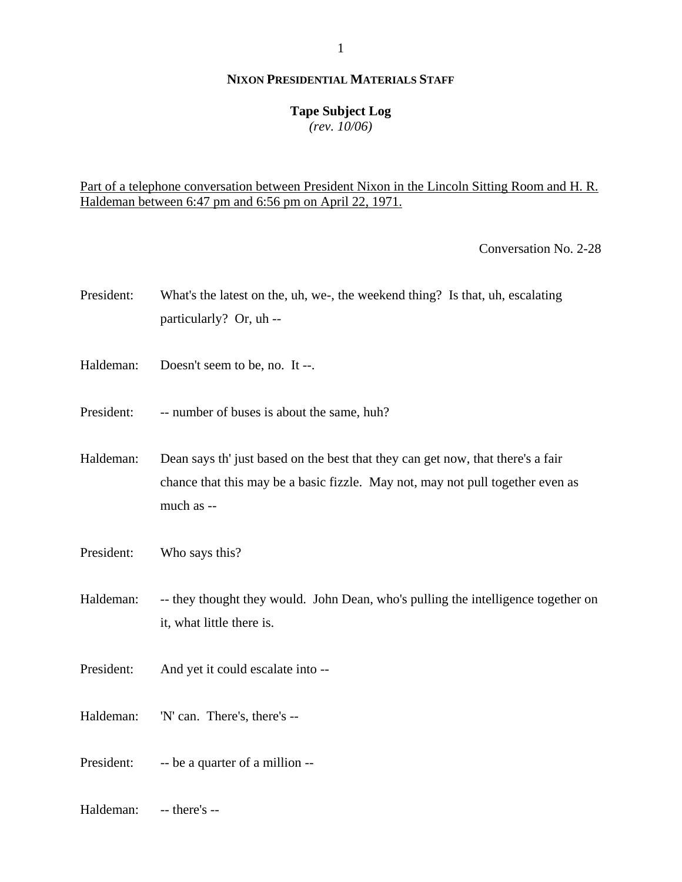## **Tape Subject Log**

*(rev. 10/06)*

## Part of a telephone conversation between President Nixon in the Lincoln Sitting Room and H. R. Haldeman between 6:47 pm and 6:56 pm on April 22, 1971.

Conversation No. 2-28

- President: What's the latest on the, uh, we-, the weekend thing? Is that, uh, escalating particularly? Or, uh --
- Haldeman: Doesn't seem to be, no. It --.
- President: -- number of buses is about the same, huh?
- Haldeman: Dean says th' just based on the best that they can get now, that there's a fair chance that this may be a basic fizzle. May not, may not pull together even as much as --
- President: Who says this?

Haldeman: -- they thought they would. John Dean, who's pulling the intelligence together on it, what little there is.

- President: And yet it could escalate into --
- Haldeman: 'N' can. There's, there's --
- President: -- be a quarter of a million --
- Haldeman: -- there's --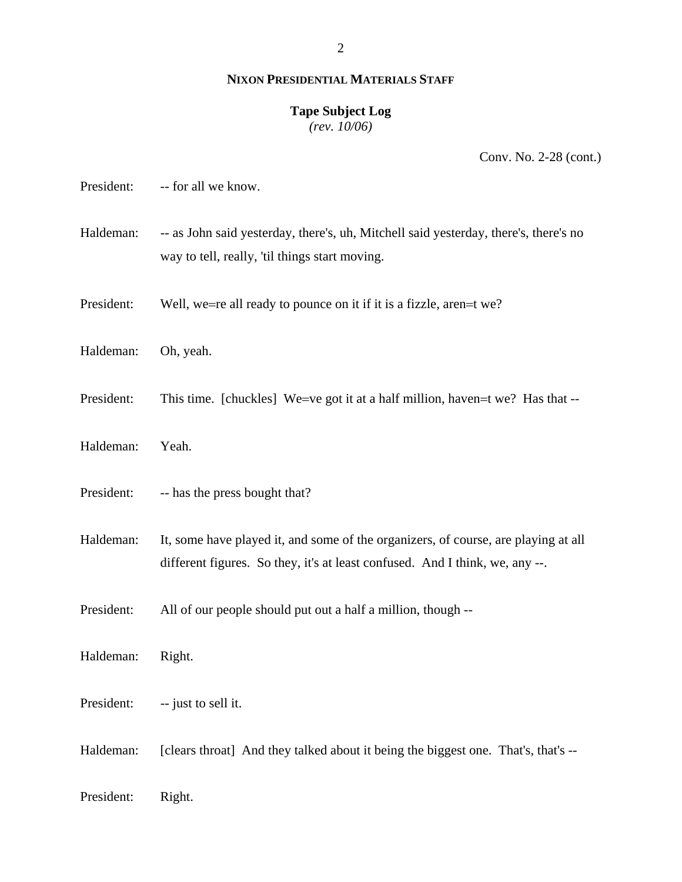### **Tape Subject Log**

*(rev. 10/06)*

Conv. No. 2-28 (cont.)

| President: | -- for all we know.                                                                                                                                                |
|------------|--------------------------------------------------------------------------------------------------------------------------------------------------------------------|
| Haldeman:  | -- as John said yesterday, there's, uh, Mitchell said yesterday, there's, there's no<br>way to tell, really, 'til things start moving.                             |
| President: | Well, we=re all ready to pounce on it if it is a fizzle, aren=t we?                                                                                                |
| Haldeman:  | Oh, yeah.                                                                                                                                                          |
| President: | This time. [chuckles] We=ve got it at a half million, haven=t we? Has that --                                                                                      |
| Haldeman:  | Yeah.                                                                                                                                                              |
| President: | -- has the press bought that?                                                                                                                                      |
| Haldeman:  | It, some have played it, and some of the organizers, of course, are playing at all<br>different figures. So they, it's at least confused. And I think, we, any --. |
| President: | All of our people should put out a half a million, though --                                                                                                       |
| Haldeman:  | Right.                                                                                                                                                             |
| President: | -- just to sell it.                                                                                                                                                |
| Haldeman:  | [clears throat] And they talked about it being the biggest one. That's, that's --                                                                                  |
| President: | Right.                                                                                                                                                             |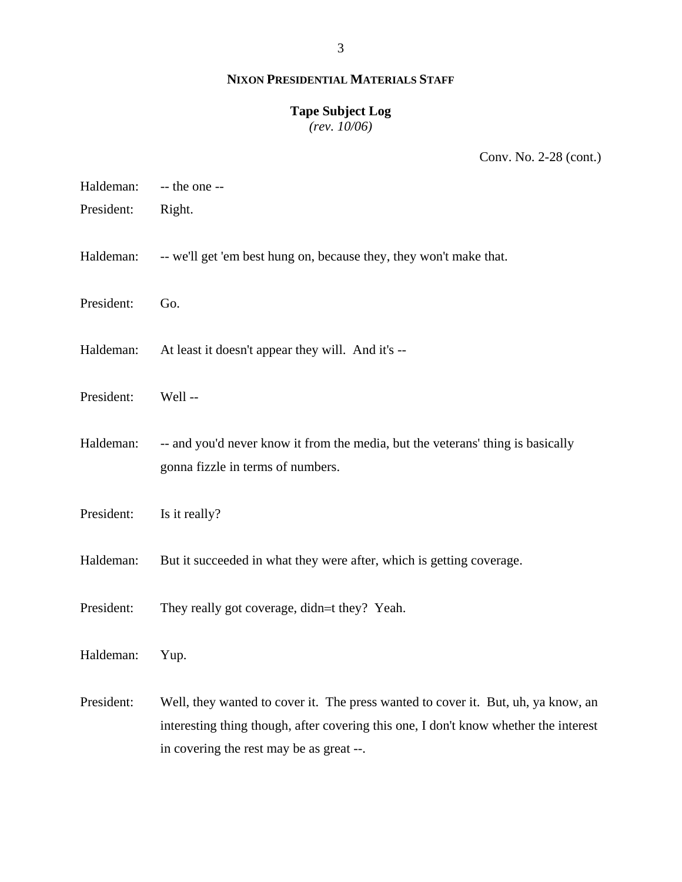### **Tape Subject Log**

*(rev. 10/06)*

Conv. No. 2-28 (cont.)

| Haldeman:  | -- the one --                                                                                                                                                                                                         |
|------------|-----------------------------------------------------------------------------------------------------------------------------------------------------------------------------------------------------------------------|
| President: | Right.                                                                                                                                                                                                                |
| Haldeman:  | -- we'll get 'em best hung on, because they, they won't make that.                                                                                                                                                    |
| President: | Go.                                                                                                                                                                                                                   |
| Haldeman:  | At least it doesn't appear they will. And it's --                                                                                                                                                                     |
| President: | Well-                                                                                                                                                                                                                 |
| Haldeman:  | -- and you'd never know it from the media, but the veterans' thing is basically<br>gonna fizzle in terms of numbers.                                                                                                  |
| President: | Is it really?                                                                                                                                                                                                         |
| Haldeman:  | But it succeeded in what they were after, which is getting coverage.                                                                                                                                                  |
| President: | They really got coverage, didn=t they? Yeah.                                                                                                                                                                          |
| Haldeman:  | Yup.                                                                                                                                                                                                                  |
| President: | Well, they wanted to cover it. The press wanted to cover it. But, uh, ya know, an<br>interesting thing though, after covering this one, I don't know whether the interest<br>in covering the rest may be as great --. |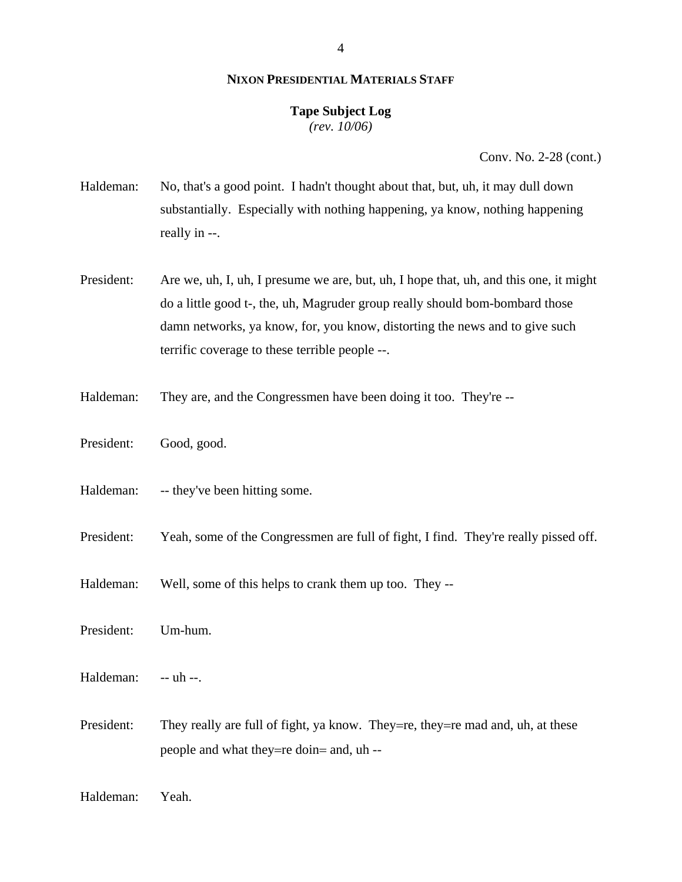#### 4

## **NIXON PRESIDENTIAL MATERIALS STAFF**

### **Tape Subject Log** *(rev. 10/06)*

Conv. No. 2-28 (cont.)

Haldeman: No, that's a good point. I hadn't thought about that, but, uh, it may dull down substantially. Especially with nothing happening, ya know, nothing happening really in --.

President: Are we, uh, I, uh, I presume we are, but, uh, I hope that, uh, and this one, it might do a little good t-, the, uh, Magruder group really should bom-bombard those damn networks, ya know, for, you know, distorting the news and to give such terrific coverage to these terrible people --.

- Haldeman: They are, and the Congressmen have been doing it too. They're --
- President: Good, good.
- Haldeman: -- they've been hitting some.

President: Yeah, some of the Congressmen are full of fight, I find. They're really pissed off.

Haldeman: Well, some of this helps to crank them up too. They --

President: Um-hum.

Haldeman: -- uh --.

President: They really are full of fight, ya know. They=re, they=re mad and, uh, at these people and what they=re doin= and, uh --

Haldeman: Yeah.